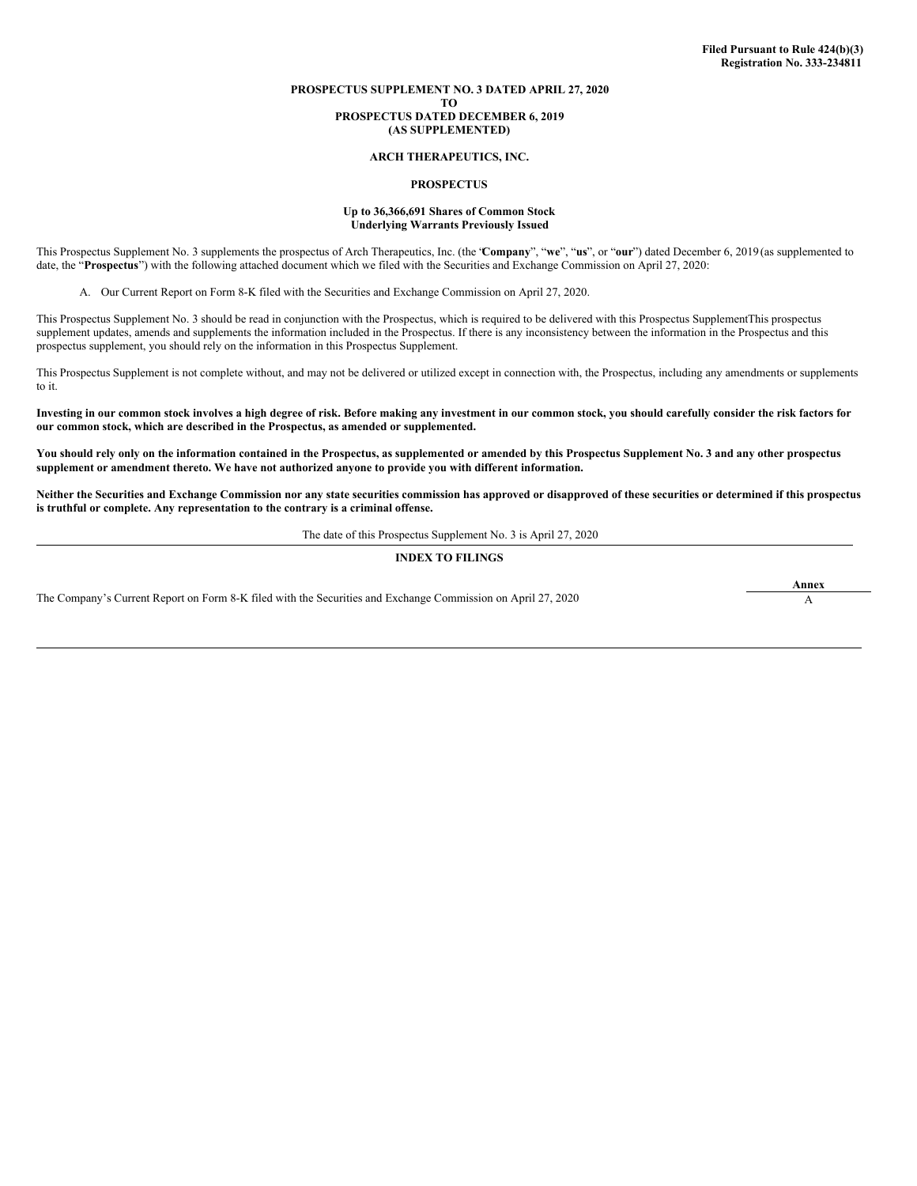# **PROSPECTUS SUPPLEMENT NO. 3 DATED APRIL 27, 2020**

**TO**

#### **PROSPECTUS DATED DECEMBER 6, 2019 (AS SUPPLEMENTED)**

#### **ARCH THERAPEUTICS, INC.**

#### **PROSPECTUS**

#### **Up to 36,366,691 Shares of Common Stock Underlying Warrants Previously Issued**

This Prospectus Supplement No. 3 supplements the prospectus of Arch Therapeutics, Inc. (the "**Company**", "**we**", "**us**", or "**our**") dated December 6, 2019 (as supplemented to date, the "**Prospectus**") with the following attached document which we filed with the Securities and Exchange Commission on April 27, 2020:

A. Our Current Report on Form 8-K filed with the Securities and Exchange Commission on April 27, 2020.

This Prospectus Supplement No. 3 should be read in conjunction with the Prospectus, which is required to be delivered with this Prospectus SupplementThis prospectus supplement updates, amends and supplements the information included in the Prospectus. If there is any inconsistency between the information in the Prospectus and this prospectus supplement, you should rely on the information in this Prospectus Supplement.

This Prospectus Supplement is not complete without, and may not be delivered or utilized except in connection with, the Prospectus, including any amendments or supplements to it.

Investing in our common stock involves a high degree of risk. Before making any investment in our common stock, you should carefully consider the risk factors for **our common stock, which are described in the Prospectus, as amended or supplemented.**

You should rely only on the information contained in the Prospectus, as supplemented or amended by this Prospectus Supplement No. 3 and any other prospectus **supplement or amendment thereto. We have not authorized anyone to provide you with different information.**

Neither the Securities and Exchange Commission nor any state securities commission has approved or disapproved of these securities or determined if this prospectus **is truthful or complete. Any representation to the contrary is a criminal offense.**

The date of this Prospectus Supplement No. 3 is April 27, 2020

#### **INDEX TO FILINGS**

The Company's Current Report on Form 8-K filed with the Securities and Exchange Commission on April 27, 2020

**Annex**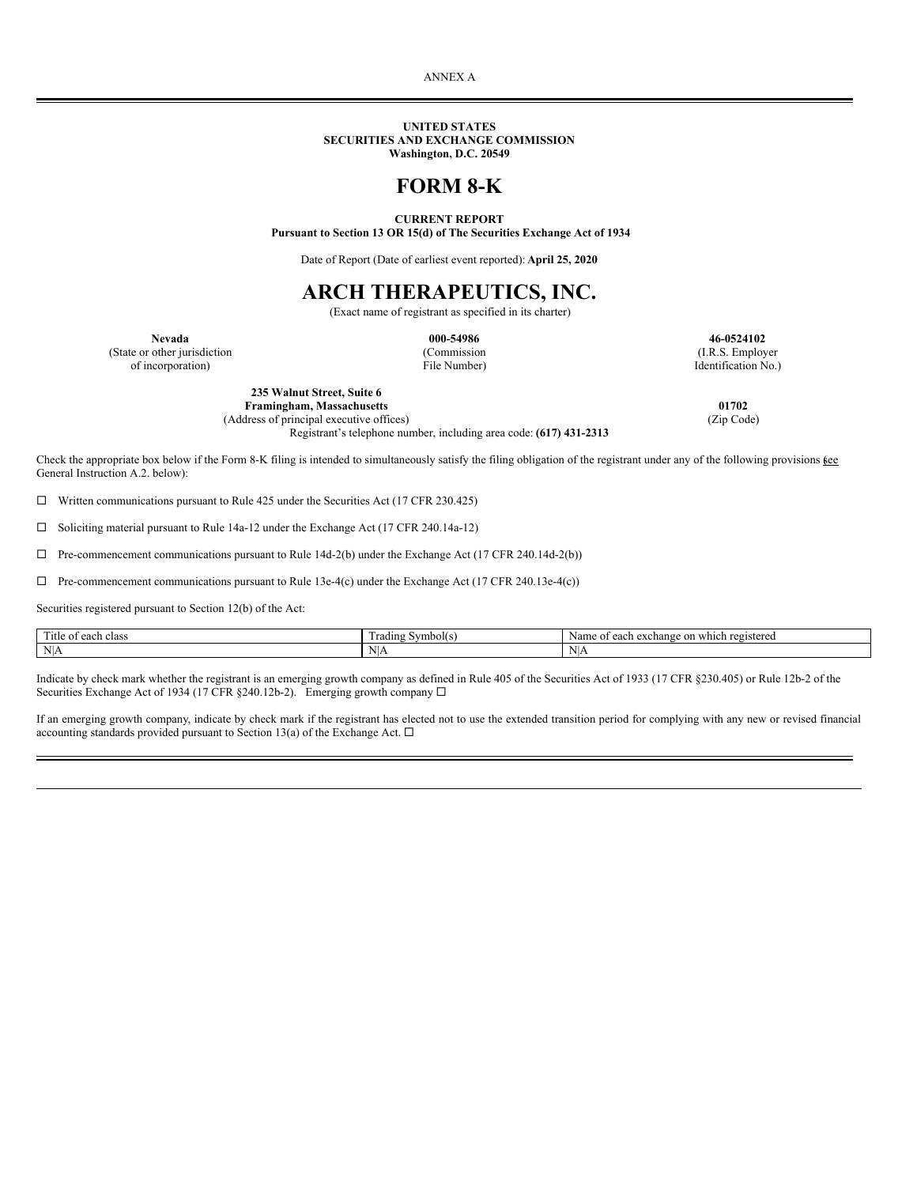ANNEX A

#### **UNITED STATES SECURITIES AND EXCHANGE COMMISSION Washington, D.C. 20549**

# **FORM 8-K**

# **CURRENT REPORT**

**Pursuant to Section 13 OR 15(d) of The Securities Exchange Act of 1934**

Date of Report (Date of earliest event reported): **April 25, 2020**

# **ARCH THERAPEUTICS, INC.**

(Exact name of registrant as specified in its charter)

**Nevada 000-54986 46-0524102** (State or other jurisdiction (Commission (Commission (I.R.S. Employer of incorporation) (I.R.S. Employer of incorporation)  $\Box$  File Number) (I.R.S. Employer of incorporation) of incorporation) File Number) Identification No.)

> **235 Walnut Street, Suite 6 Framingham, Massachusetts 01702**<br>dress of principal executive offices) (Zip Code) (2ip Code) (Address of principal executive offices)

Registrant's telephone number, including area code: **(617) 431-2313**

Check the appropriate box below if the Form 8-K filing is intended to simultaneously satisfy the filing obligation of the registrant under any of the following provisions  $\underline{\mathfrak{g}}\underline{\mathfrak{e}}\underline{\mathfrak{e}}$ General Instruction A.2. below):

 $\Box$  Written communications pursuant to Rule 425 under the Securities Act (17 CFR 230.425)

 $\square$  Soliciting material pursuant to Rule 14a-12 under the Exchange Act (17 CFR 240.14a-12)

 $\Box$  Pre-commencement communications pursuant to Rule 14d-2(b) under the Exchange Act (17 CFR 240.14d-2(b))

 $\Box$  Pre-commencement communications pursuant to Rule 13e-4(c) under the Exchange Act (17 CFR 240.13e-4(c))

Securities registered pursuant to Section 12(b) of the Act:

| $-1$<br>l'itle of<br>each<br>class | rading<br>Symboles. | registered<br>Name<br>ı which<br>$\sim$ $\sim$<br>on<br>$\sim$<br>. CACI60<br>- COL |
|------------------------------------|---------------------|-------------------------------------------------------------------------------------|
| N                                  | NU<br>۰ ۱ ۱ د       | $\mathbf{v}$<br>N<br>111                                                            |

Indicate by check mark whether the registrant is an emerging growth company as defined in Rule 405 of the Securities Act of 1933 (17 CFR §230.405) or Rule 12b-2 of the Securities Exchange Act of 1934 (17 CFR §240.12b-2). Emerging growth company  $\Box$ 

If an emerging growth company, indicate by check mark if the registrant has elected not to use the extended transition period for complying with any new or revised financial accounting standards provided pursuant to Section 13(a) of the Exchange Act.  $\Box$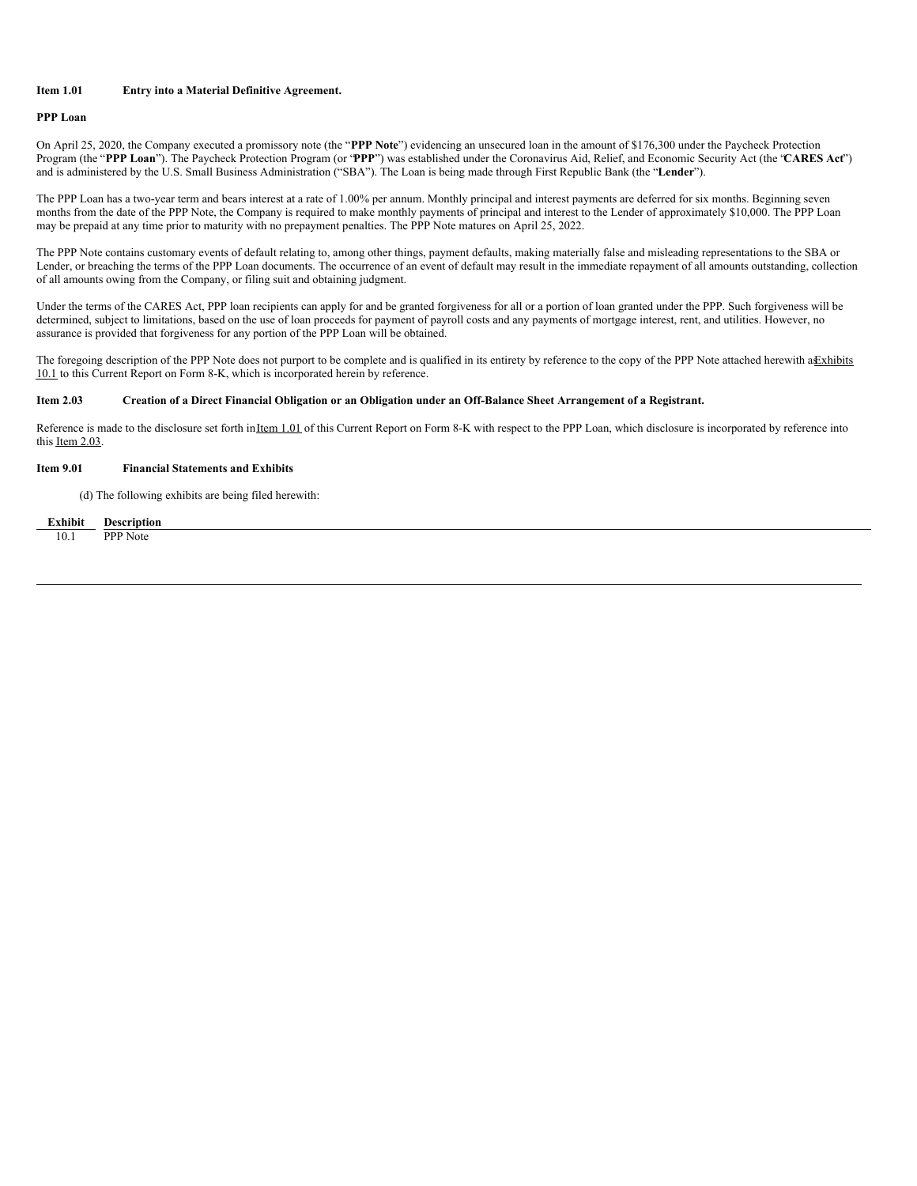# **Item 1.01 Entry into a Material Definitive Agreement.**

# **PPP Loan**

On April 25, 2020, the Company executed a promissory note (the "**PPP Note**") evidencing an unsecured loan in the amount of \$176,300 under the Paycheck Protection Program (the "**PPP Loan**"). The Paycheck Protection Program (or "**PPP**") was established under the Coronavirus Aid, Relief, and Economic Security Act (the "**CARES Act**") and is administered by the U.S. Small Business Administration ("SBA"). The Loan is being made through First Republic Bank (the "**Lender**").

The PPP Loan has a two-year term and bears interest at a rate of 1.00% per annum. Monthly principal and interest payments are deferred for six months. Beginning seven months from the date of the PPP Note, the Company is required to make monthly payments of principal and interest to the Lender of approximately \$10,000. The PPP Loan may be prepaid at any time prior to maturity with no prepayment penalties. The PPP Note matures on April 25, 2022.

The PPP Note contains customary events of default relating to, among other things, payment defaults, making materially false and misleading representations to the SBA or Lender, or breaching the terms of the PPP Loan documents. The occurrence of an event of default may result in the immediate repayment of all amounts outstanding, collection of all amounts owing from the Company, or filing suit and obtaining judgment.

Under the terms of the CARES Act, PPP loan recipients can apply for and be granted forgiveness for all or a portion of loan granted under the PPP. Such forgiveness will be determined, subject to limitations, based on the use of loan proceeds for payment of payroll costs and any payments of mortgage interest, rent, and utilities. However, no assurance is provided that forgiveness for any portion of the PPP Loan will be obtained.

The foregoing description of the PPP Note does not purport to be complete and is qualified in its entirety by reference to the copy of the PPP Note attached herewith a Exhibits 10.1 to this Current Report on Form 8-K, which is incorporated herein by reference.

#### Item 2.03 Creation of a Direct Financial Obligation or an Obligation under an Off-Balance Sheet Arrangement of a Registrant.

Reference is made to the disclosure set forth inItem 1.01 of this Current Report on Form 8-K with respect to the PPP Loan, which disclosure is incorporated by reference into this Item 2.03.

# **Item 9.01 Financial Statements and Exhibits**

(d) The following exhibits are being filed herewith:

| Exhibit | <b>Description</b> |
|---------|--------------------|
| 10 1    | <b>PPP</b> Note    |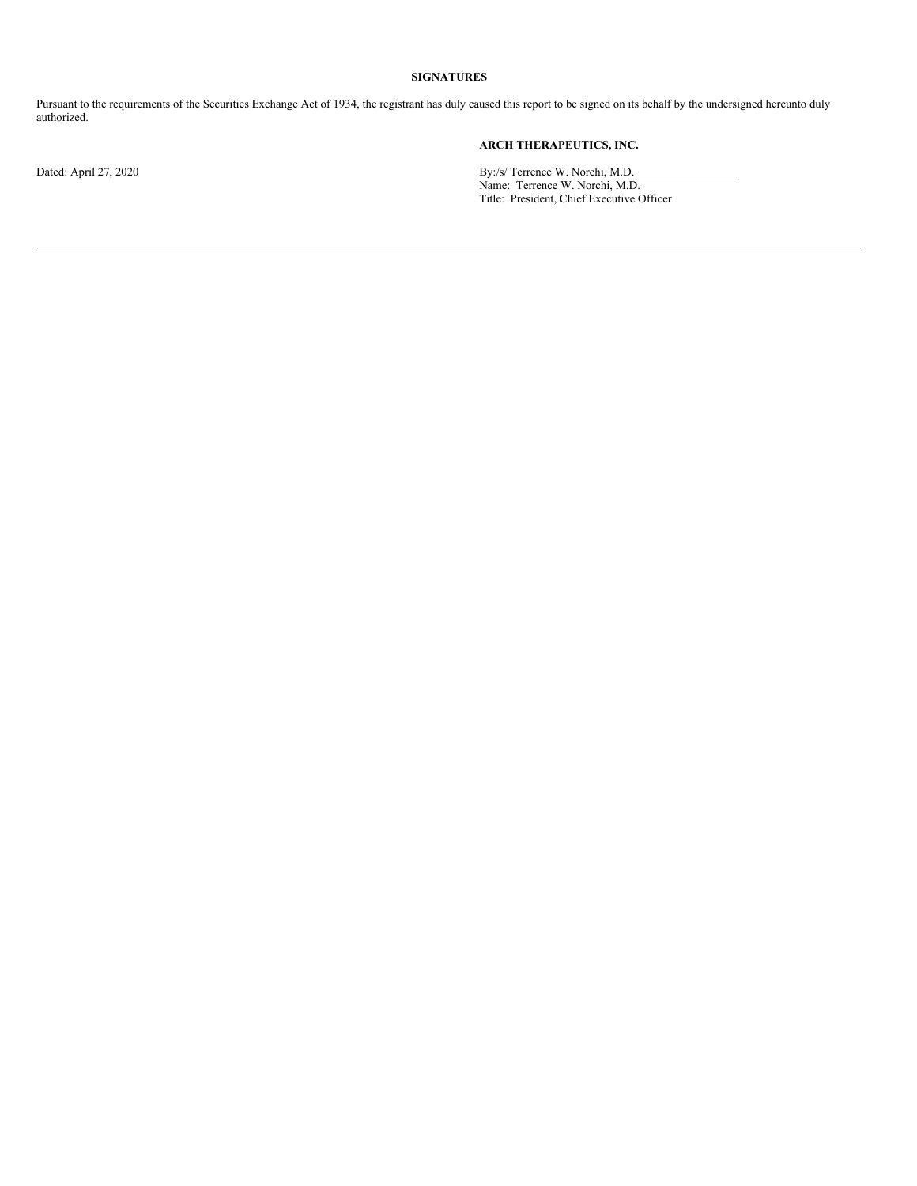# **SIGNATURES**

Pursuant to the requirements of the Securities Exchange Act of 1934, the registrant has duly caused this report to be signed on its behalf by the undersigned hereunto duly authorized.

# **ARCH THERAPEUTICS, INC.**

Dated: April 27, 2020 **By:/s/ Terrence W. Norchi, M.D.** Name: Terrence W. Norchi, M.D. Title: President, Chief Executive Officer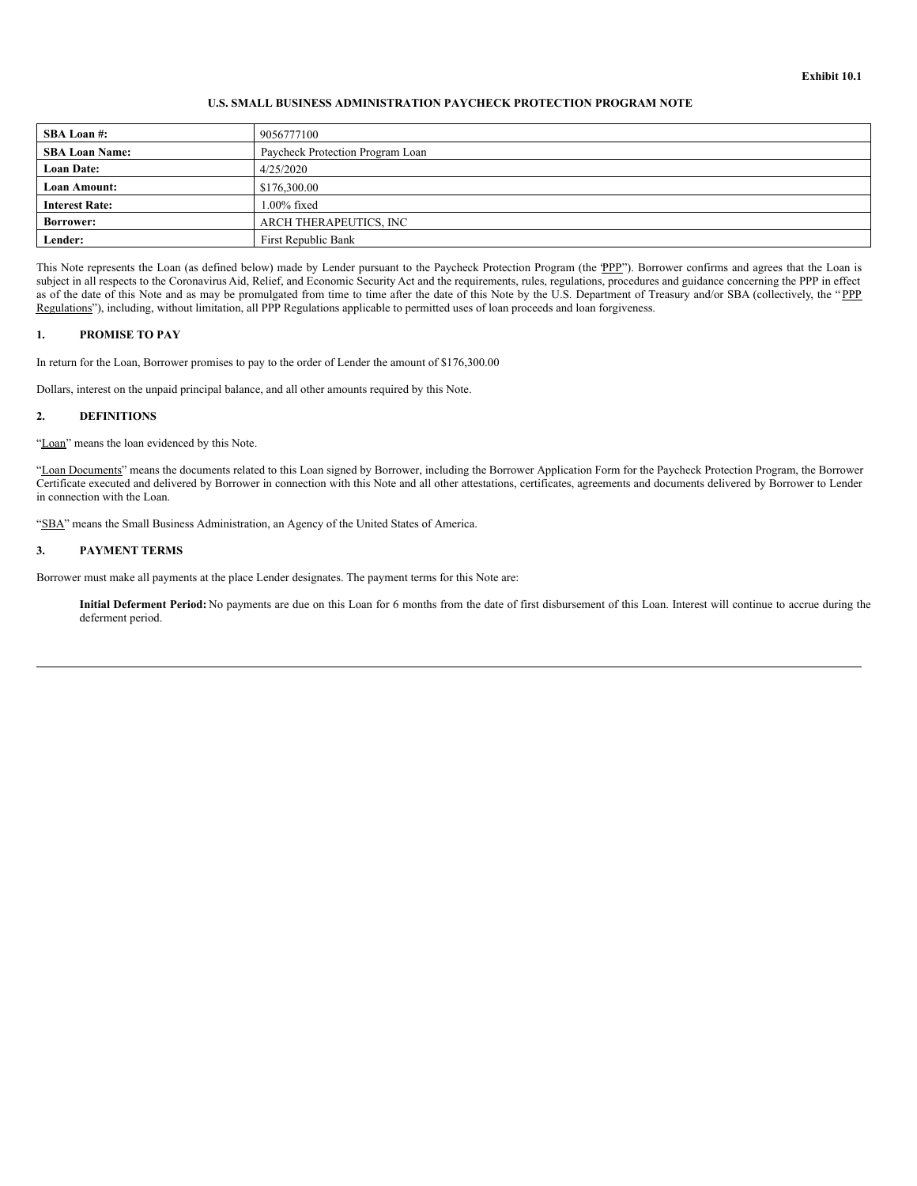# **Exhibit 10.1**

### **U.S. SMALL BUSINESS ADMINISTRATION PAYCHECK PROTECTION PROGRAM NOTE**

| <b>SBA Loan#:</b>     | 9056777100                       |
|-----------------------|----------------------------------|
| <b>SBA Loan Name:</b> | Paycheck Protection Program Loan |
| <b>Loan Date:</b>     | 4/25/2020                        |
| Loan Amount:          | \$176,300.00                     |
| <b>Interest Rate:</b> | 1.00% fixed                      |
| <b>Borrower:</b>      | ARCH THERAPEUTICS, INC           |
| Lender:               | First Republic Bank              |

This Note represents the Loan (as defined below) made by Lender pursuant to the Paycheck Protection Program (the "PPP"). Borrower confirms and agrees that the Loan is subject in all respects to the Coronavirus Aid, Relief, and Economic Security Act and the requirements, rules, regulations, procedures and guidance concerning the PPP in effect as of the date of this Note and as may be promulgated from time to time after the date of this Note by the U.S. Department of Treasury and/or SBA (collectively, the "PPP Regulations"), including, without limitation, all PPP Regulations applicable to permitted uses of loan proceeds and loan forgiveness.

#### **1. PROMISE TO PAY**

In return for the Loan, Borrower promises to pay to the order of Lender the amount of \$176,300.00

Dollars, interest on the unpaid principal balance, and all other amounts required by this Note.

#### **2. DEFINITIONS**

"Loan" means the loan evidenced by this Note.

"Loan Documents" means the documents related to this Loan signed by Borrower, including the Borrower Application Form for the Paycheck Protection Program, the Borrower Certificate executed and delivered by Borrower in connection with this Note and all other attestations, certificates, agreements and documents delivered by Borrower to Lender in connection with the Loan.

"SBA" means the Small Business Administration, an Agency of the United States of America.

# **3. PAYMENT TERMS**

Borrower must make all payments at the place Lender designates. The payment terms for this Note are:

**Initial Deferment Period:** No payments are due on this Loan for 6 months from the date of first disbursement of this Loan. Interest will continue to accrue during the deferment period.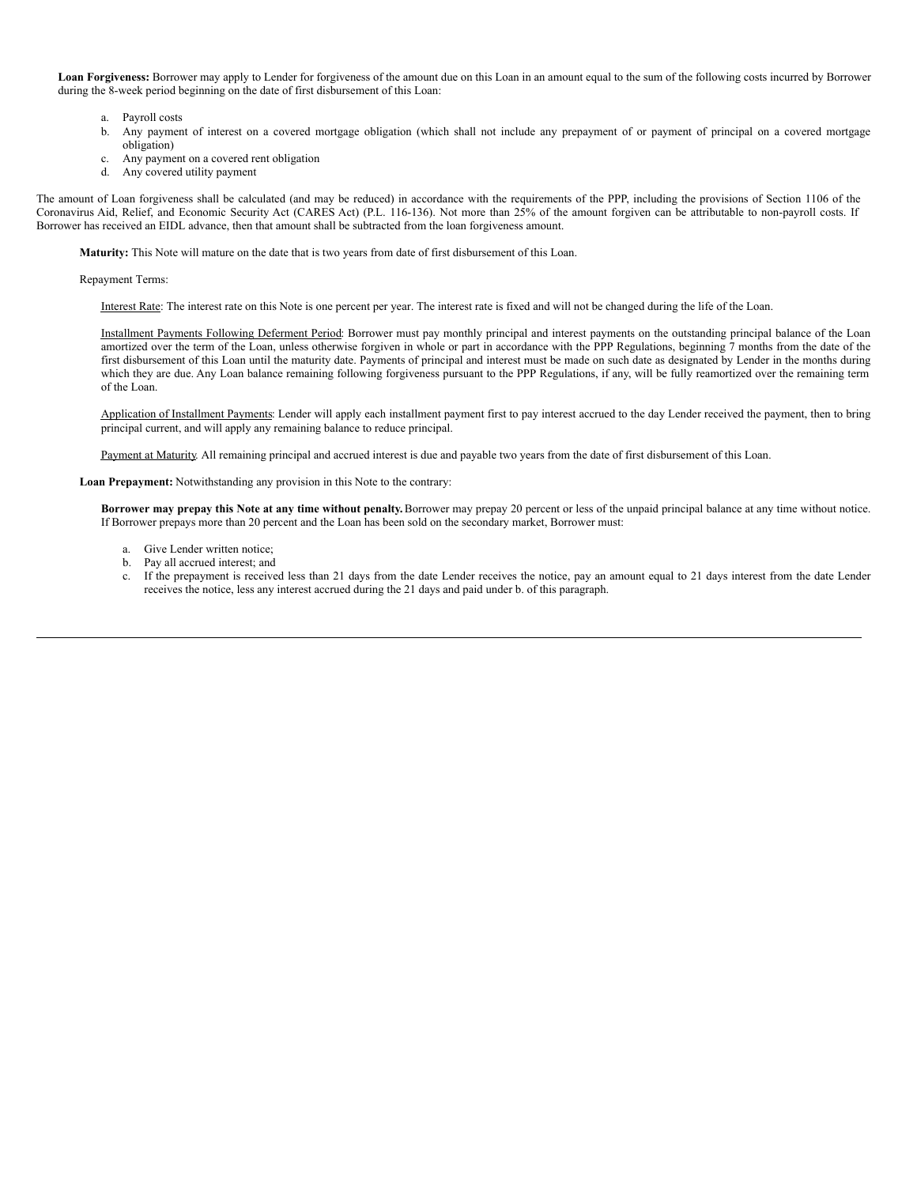**Loan Forgiveness:** Borrower may apply to Lender for forgiveness of the amount due on this Loan in an amount equal to the sum of the following costs incurred by Borrower during the 8-week period beginning on the date of first disbursement of this Loan:

- a. Payroll costs
- b. Any payment of interest on a covered mortgage obligation (which shall not include any prepayment of or payment of principal on a covered mortgage obligation)
- c. Any payment on a covered rent obligation
- d. Any covered utility payment

The amount of Loan forgiveness shall be calculated (and may be reduced) in accordance with the requirements of the PPP, including the provisions of Section 1106 of the Coronavirus Aid, Relief, and Economic Security Act (CARES Act) (P.L. 116-136). Not more than 25% of the amount forgiven can be attributable to non-payroll costs. If Borrower has received an EIDL advance, then that amount shall be subtracted from the loan forgiveness amount.

**Maturity:** This Note will mature on the date that is two years from date of first disbursement of this Loan.

Repayment Terms:

Interest Rate: The interest rate on this Note is one percent per year. The interest rate is fixed and will not be changed during the life of the Loan.

Installment Payments Following Deferment Period: Borrower must pay monthly principal and interest payments on the outstanding principal balance of the Loan amortized over the term of the Loan, unless otherwise forgiven in whole or part in accordance with the PPP Regulations, beginning 7 months from the date of the first disbursement of this Loan until the maturity date. Payments of principal and interest must be made on such date as designated by Lender in the months during which they are due. Any Loan balance remaining following forgiveness pursuant to the PPP Regulations, if any, will be fully reamortized over the remaining term of the Loan.

Application of Installment Payments: Lender will apply each installment payment first to pay interest accrued to the day Lender received the payment, then to bring principal current, and will apply any remaining balance to reduce principal.

Payment at Maturity. All remaining principal and accrued interest is due and payable two years from the date of first disbursement of this Loan.

**Loan Prepayment:** Notwithstanding any provision in this Note to the contrary:

Borrower may prepay this Note at any time without penalty. Borrower may prepay 20 percent or less of the unpaid principal balance at any time without notice. If Borrower prepays more than 20 percent and the Loan has been sold on the secondary market, Borrower must:

- a. Give Lender written notice;
- b. Pay all accrued interest; and
- c. If the prepayment is received less than 21 days from the date Lender receives the notice, pay an amount equal to 21 days interest from the date Lender receives the notice, less any interest accrued during the 21 days and paid under b. of this paragraph.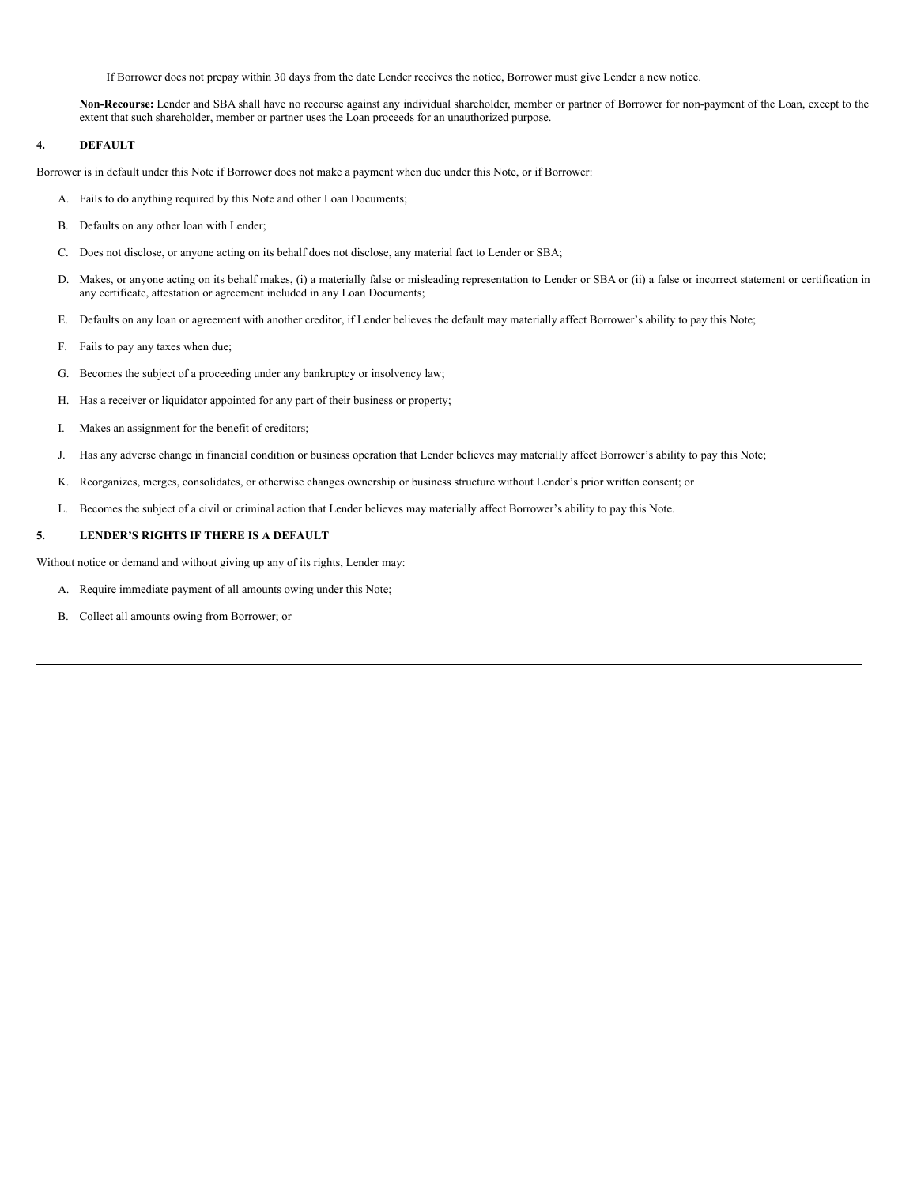If Borrower does not prepay within 30 days from the date Lender receives the notice, Borrower must give Lender a new notice.

**Non-Recourse:** Lender and SBA shall have no recourse against any individual shareholder, member or partner of Borrower for non-payment of the Loan, except to the extent that such shareholder, member or partner uses the Loan proceeds for an unauthorized purpose.

# **4. DEFAULT**

Borrower is in default under this Note if Borrower does not make a payment when due under this Note, or if Borrower:

- A. Fails to do anything required by this Note and other Loan Documents;
- B. Defaults on any other loan with Lender;
- C. Does not disclose, or anyone acting on its behalf does not disclose, any material fact to Lender or SBA;
- D. Makes, or anyone acting on its behalf makes, (i) a materially false or misleading representation to Lender or SBA or (ii) a false or incorrect statement or certification in any certificate, attestation or agreement included in any Loan Documents;
- E. Defaults on any loan or agreement with another creditor, if Lender believes the default may materially affect Borrower's ability to pay this Note;
- F. Fails to pay any taxes when due;
- G. Becomes the subject of a proceeding under any bankruptcy or insolvency law;
- H. Has a receiver or liquidator appointed for any part of their business or property;
- I. Makes an assignment for the benefit of creditors;
- J. Has any adverse change in financial condition or business operation that Lender believes may materially affect Borrower's ability to pay this Note;
- K. Reorganizes, merges, consolidates, or otherwise changes ownership or business structure without Lender's prior written consent; or
- L. Becomes the subject of a civil or criminal action that Lender believes may materially affect Borrower's ability to pay this Note.

# **5. LENDER'S RIGHTS IF THERE IS A DEFAULT**

Without notice or demand and without giving up any of its rights, Lender may:

- A. Require immediate payment of all amounts owing under this Note;
- B. Collect all amounts owing from Borrower; or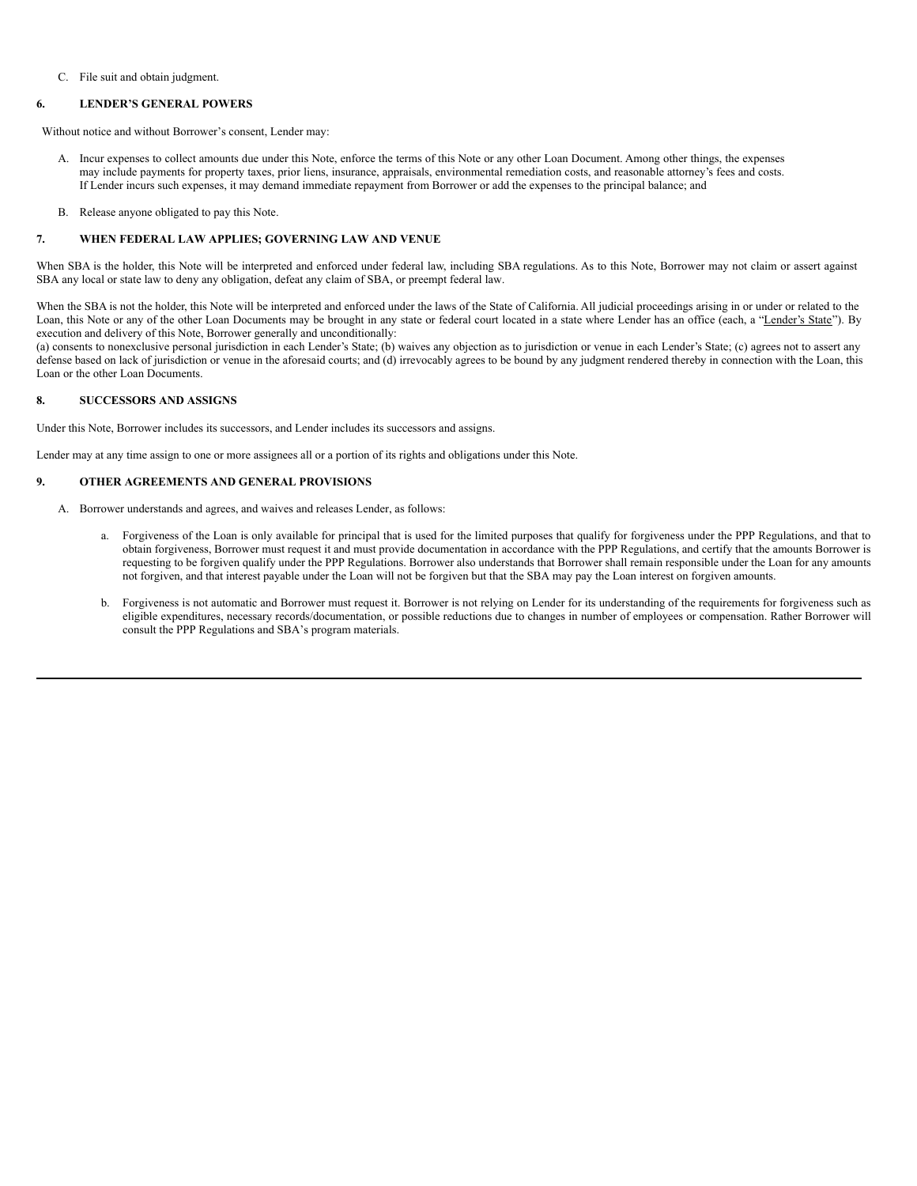#### C. File suit and obtain judgment.

# **6. LENDER'S GENERAL POWERS**

Without notice and without Borrower's consent, Lender may:

- A. Incur expenses to collect amounts due under this Note, enforce the terms of this Note or any other Loan Document. Among other things, the expenses may include payments for property taxes, prior liens, insurance, appraisals, environmental remediation costs, and reasonable attorney's fees and costs. If Lender incurs such expenses, it may demand immediate repayment from Borrower or add the expenses to the principal balance; and
- B. Release anyone obligated to pay this Note.

# **7. WHEN FEDERAL LAW APPLIES; GOVERNING LAW AND VENUE**

When SBA is the holder, this Note will be interpreted and enforced under federal law, including SBA regulations. As to this Note, Borrower may not claim or assert against SBA any local or state law to deny any obligation, defeat any claim of SBA, or preempt federal law.

When the SBA is not the holder, this Note will be interpreted and enforced under the laws of the State of California. All judicial proceedings arising in or under or related to the Loan, this Note or any of the other Loan Documents may be brought in any state or federal court located in a state where Lender has an office (each, a "Lender's State"). By execution and delivery of this Note, Borrower generally and unconditionally:

(a) consents to nonexclusive personal jurisdiction in each Lender's State; (b) waives any objection as to jurisdiction or venue in each Lender's State; (c) agrees not to assert any defense based on lack of jurisdiction or venue in the aforesaid courts; and (d) irrevocably agrees to be bound by any judgment rendered thereby in connection with the Loan, this Loan or the other Loan Documents.

#### **8. SUCCESSORS AND ASSIGNS**

Under this Note, Borrower includes its successors, and Lender includes its successors and assigns.

Lender may at any time assign to one or more assignees all or a portion of its rights and obligations under this Note.

#### **9. OTHER AGREEMENTS AND GENERAL PROVISIONS**

- A. Borrower understands and agrees, and waives and releases Lender, as follows:
	- a. Forgiveness of the Loan is only available for principal that is used for the limited purposes that qualify for forgiveness under the PPP Regulations, and that to obtain forgiveness, Borrower must request it and must provide documentation in accordance with the PPP Regulations, and certify that the amounts Borrower is requesting to be forgiven qualify under the PPP Regulations. Borrower also understands that Borrower shall remain responsible under the Loan for any amounts not forgiven, and that interest payable under the Loan will not be forgiven but that the SBA may pay the Loan interest on forgiven amounts.
	- b. Forgiveness is not automatic and Borrower must request it. Borrower is not relying on Lender for its understanding of the requirements for forgiveness such as eligible expenditures, necessary records/documentation, or possible reductions due to changes in number of employees or compensation. Rather Borrower will consult the PPP Regulations and SBA's program materials.